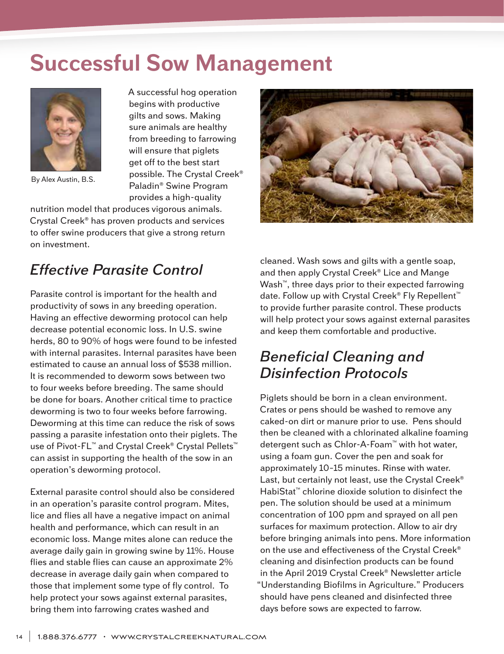## **Successful Sow Management**



By Alex Austin, B.S.

A successful hog operation begins with productive gilts and sows. Making sure animals are healthy from breeding to farrowing will ensure that piglets get off to the best start possible. The Crystal Creek® Paladin® Swine Program provides a high-quality

nutrition model that produces vigorous animals. Crystal Creek® has proven products and services to offer swine producers that give a strong return on investment.



## *Effective Parasite Control*

Parasite control is important for the health and productivity of sows in any breeding operation. Having an effective deworming protocol can help decrease potential economic loss. In U.S. swine herds, 80 to 90% of hogs were found to be infested with internal parasites. Internal parasites have been estimated to cause an annual loss of \$538 million. It is recommended to deworm sows between two to four weeks before breeding. The same should be done for boars. Another critical time to practice deworming is two to four weeks before farrowing. Deworming at this time can reduce the risk of sows passing a parasite infestation onto their piglets. The use of Pivot-FL™ and Crystal Creek® Crystal Pellets™ can assist in supporting the health of the sow in an operation's deworming protocol.

External parasite control should also be considered in an operation's parasite control program. Mites, lice and flies all have a negative impact on animal health and performance, which can result in an economic loss. Mange mites alone can reduce the average daily gain in growing swine by 11%. House flies and stable flies can cause an approximate 2% decrease in average daily gain when compared to those that implement some type of fly control. To help protect your sows against external parasites, bring them into farrowing crates washed and

cleaned. Wash sows and gilts with a gentle soap, and then apply Crystal Creek® Lice and Mange Wash™, three days prior to their expected farrowing date. Follow up with Crystal Creek® Fly Repellent™ to provide further parasite control. These products will help protect your sows against external parasites and keep them comfortable and productive.

## *Beneficial Cleaning and Disinfection Protocols*

Piglets should be born in a clean environment. Crates or pens should be washed to remove any caked-on dirt or manure prior to use. Pens should then be cleaned with a chlorinated alkaline foaming detergent such as Chlor-A-Foam™ with hot water, using a foam gun. Cover the pen and soak for approximately 10–15 minutes. Rinse with water. Last, but certainly not least, use the Crystal Creek<sup>®</sup> HabiStat™ chlorine dioxide solution to disinfect the pen. The solution should be used at a minimum concentration of 100 ppm and sprayed on all pen surfaces for maximum protection. Allow to air dry before bringing animals into pens. More information on the use and effectiveness of the Crystal Creek® cleaning and disinfection products can be found in the April 2019 Crystal Creek® Newsletter article "Understanding Biofilms in Agriculture." Producers should have pens cleaned and disinfected three days before sows are expected to farrow.